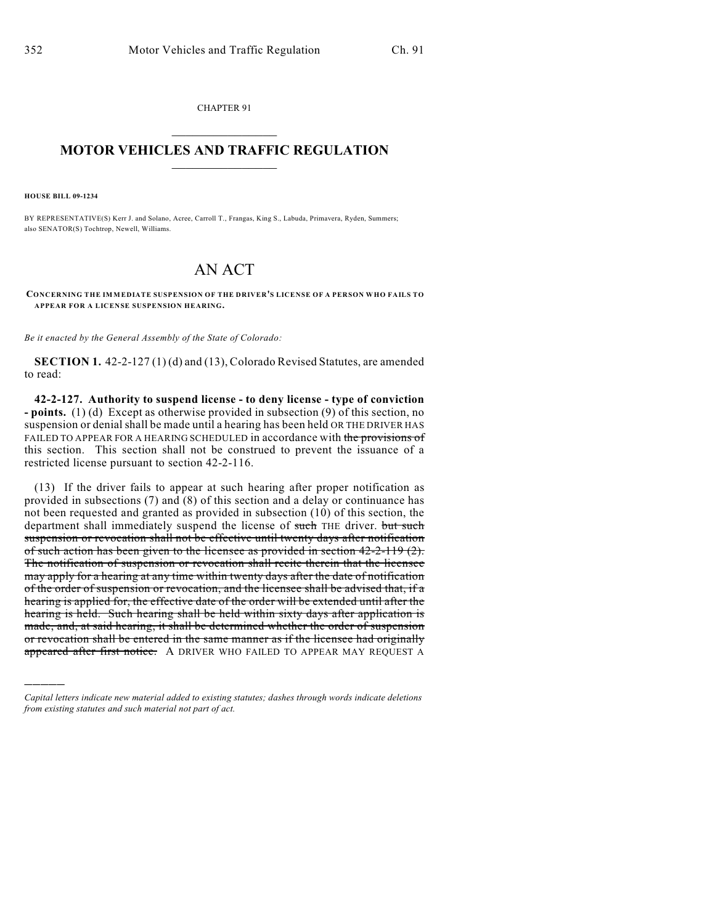CHAPTER 91  $\mathcal{L}_\text{max}$  . The set of the set of the set of the set of the set of the set of the set of the set of the set of the set of the set of the set of the set of the set of the set of the set of the set of the set of the set

## **MOTOR VEHICLES AND TRAFFIC REGULATION**  $\frac{1}{2}$  ,  $\frac{1}{2}$  ,  $\frac{1}{2}$  ,  $\frac{1}{2}$  ,  $\frac{1}{2}$  ,  $\frac{1}{2}$  ,  $\frac{1}{2}$  ,  $\frac{1}{2}$

**HOUSE BILL 09-1234**

)))))

BY REPRESENTATIVE(S) Kerr J. and Solano, Acree, Carroll T., Frangas, King S., Labuda, Primavera, Ryden, Summers; also SENATOR(S) Tochtrop, Newell, Williams.

## AN ACT

**CONCERNING THE IMMEDIATE SUSPENSION OF THE DRIVER'S LICENSE OF A PERSON WHO FAILS TO APPEAR FOR A LICENSE SUSPENSION HEARING.**

*Be it enacted by the General Assembly of the State of Colorado:*

**SECTION 1.** 42-2-127 (1) (d) and (13), Colorado Revised Statutes, are amended to read:

**42-2-127. Authority to suspend license - to deny license - type of conviction - points.** (1) (d) Except as otherwise provided in subsection (9) of this section, no suspension or denial shall be made until a hearing has been held OR THE DRIVER HAS FAILED TO APPEAR FOR A HEARING SCHEDULED in accordance with the provisions of this section. This section shall not be construed to prevent the issuance of a restricted license pursuant to section 42-2-116.

(13) If the driver fails to appear at such hearing after proper notification as provided in subsections (7) and  $(8)$  of this section and a delay or continuance has not been requested and granted as provided in subsection (10) of this section, the department shall immediately suspend the license of such THE driver. but such suspension or revocation shall not be effective until twenty days after notification of such action has been given to the licensee as provided in section 42-2-119 (2). The notification of suspension or revocation shall recite therein that the licensee may apply for a hearing at any time within twenty days after the date of notification of the order of suspension or revocation, and the licensee shall be advised that, if a hearing is applied for, the effective date of the order will be extended until after the hearing is held. Such hearing shall be held within sixty days after application is made, and, at said hearing, it shall be determined whether the order of suspension or revocation shall be entered in the same manner as if the licensee had originally appeared after first notice. A DRIVER WHO FAILED TO APPEAR MAY REQUEST A

*Capital letters indicate new material added to existing statutes; dashes through words indicate deletions from existing statutes and such material not part of act.*